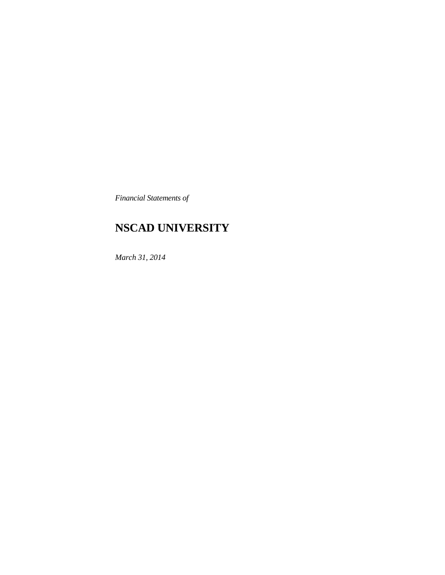*Financial Statements of*

# **NSCAD UNIVERSITY**

*March 31, 2014*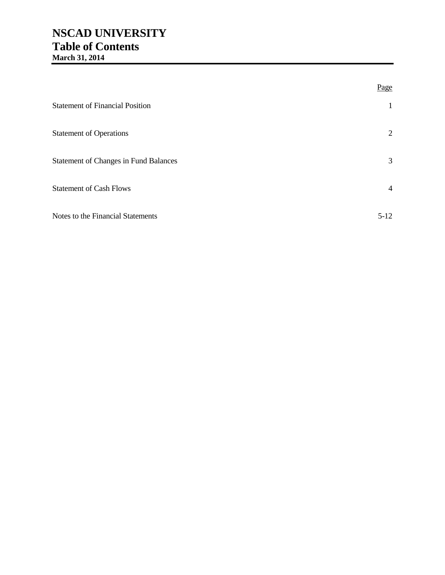# **NSCAD UNIVERSITY Table of Contents March 31, 2014**

|                                              | Page           |
|----------------------------------------------|----------------|
| <b>Statement of Financial Position</b>       | $\mathbf{1}$   |
| <b>Statement of Operations</b>               | 2              |
| <b>Statement of Changes in Fund Balances</b> | 3              |
| <b>Statement of Cash Flows</b>               | $\overline{4}$ |
| Notes to the Financial Statements            | $5-12$         |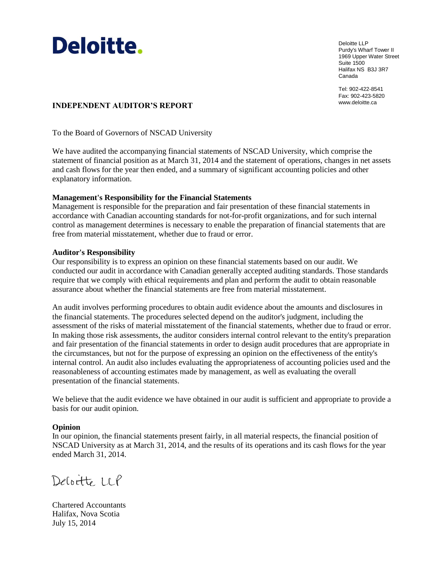

Deloitte LLP Purdy's Wharf Tower II 1969 Upper Water Street Suite 1500 Halifax NS B3J 3R7 Canada

Tel: 902-422-8541 Fax: 902-423-5820

# **INDEPENDENT AUDITOR'S REPORT** WWW.deloitte.ca

To the Board of Governors of NSCAD University

We have audited the accompanying financial statements of NSCAD University, which comprise the statement of financial position as at March 31, 2014 and the statement of operations, changes in net assets and cash flows for the year then ended, and a summary of significant accounting policies and other explanatory information.

## **Management's Responsibility for the Financial Statements**

Management is responsible for the preparation and fair presentation of these financial statements in accordance with Canadian accounting standards for not-for-profit organizations, and for such internal control as management determines is necessary to enable the preparation of financial statements that are free from material misstatement, whether due to fraud or error.

## **Auditor's Responsibility**

Our responsibility is to express an opinion on these financial statements based on our audit. We conducted our audit in accordance with Canadian generally accepted auditing standards. Those standards require that we comply with ethical requirements and plan and perform the audit to obtain reasonable assurance about whether the financial statements are free from material misstatement.

An audit involves performing procedures to obtain audit evidence about the amounts and disclosures in the financial statements. The procedures selected depend on the auditor's judgment, including the assessment of the risks of material misstatement of the financial statements, whether due to fraud or error. In making those risk assessments, the auditor considers internal control relevant to the entity's preparation and fair presentation of the financial statements in order to design audit procedures that are appropriate in the circumstances, but not for the purpose of expressing an opinion on the effectiveness of the entity's internal control. An audit also includes evaluating the appropriateness of accounting policies used and the reasonableness of accounting estimates made by management, as well as evaluating the overall presentation of the financial statements.

We believe that the audit evidence we have obtained in our audit is sufficient and appropriate to provide a basis for our audit opinion.

## **Opinion**

In our opinion, the financial statements present fairly, in all material respects, the financial position of NSCAD University as at March 31, 2014, and the results of its operations and its cash flows for the year ended March 31, 2014.

Deloitte LCP

Chartered Accountants Halifax, Nova Scotia July 15, 2014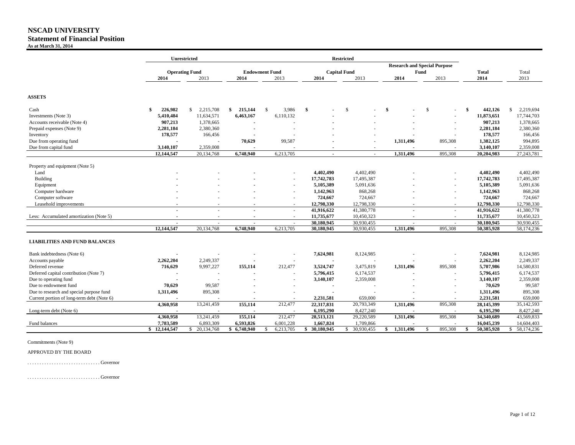#### **NSCAD UNIVERSITY Statement of Financial Position As at March 31, 2014**

|                                            |                | Unrestricted             |                          |                       |                  | <b>Restricted</b>           |                          |                                     |               |                           |
|--------------------------------------------|----------------|--------------------------|--------------------------|-----------------------|------------------|-----------------------------|--------------------------|-------------------------------------|---------------|---------------------------|
|                                            |                |                          |                          |                       |                  |                             |                          | <b>Research and Special Purpose</b> |               |                           |
|                                            |                | <b>Operating Fund</b>    |                          | <b>Endowment Fund</b> |                  | <b>Capital Fund</b>         |                          | Fund                                | <b>Total</b>  | Total                     |
|                                            | 2014           | 2013                     | 2014                     | 2013                  | 2014             | 2013                        | 2014                     | 2013                                | 2014          | 2013                      |
|                                            |                |                          |                          |                       |                  |                             |                          |                                     |               |                           |
| <b>ASSETS</b>                              |                |                          |                          |                       |                  |                             |                          |                                     |               |                           |
| Cash                                       | 226.982<br>\$  | 2,215,708<br>\$.         | \$<br>215,144            | s.<br>3.986           | \$               | \$                          | \$                       | $\mathcal{S}$                       | \$<br>442,126 | $\mathbb{S}$<br>2.219.694 |
| Investments (Note 3)                       | 5,410,484      | 11,634,571               | 6,463,167                | 6,110,132             |                  |                             |                          |                                     | 11,873,651    | 17,744,703                |
| Accounts receivable (Note 4)               | 907,213        | 1.378.665                |                          |                       |                  |                             |                          |                                     | 907,213       | 1,378,665                 |
| Prepaid expenses (Note 9)                  | 2,281,184      | 2,380,360                | $\overline{\phantom{a}}$ |                       |                  |                             |                          |                                     | 2,281,184     | 2,380,360                 |
| Inventory                                  | 178,577        | 166,456                  |                          |                       |                  |                             |                          |                                     | 178,577       | 166,456                   |
| Due from operating fund                    |                |                          | 70,629                   | 99,587                |                  | $\sim$                      | 1,311,496                | 895,308                             | 1,382,125     | 994,895                   |
| Due from capital fund                      | 3,140,107      | 2,359,008                |                          |                       |                  | $\sim$                      |                          | $\sim$                              | 3,140,107     | 2,359,008                 |
|                                            | 12,144,547     | 20,134,768               | 6,748,940                | 6,213,705             |                  | ÷,                          | 1,311,496                | 895,308                             | 20,204,983    | 27, 243, 781              |
| Property and equipment (Note 5)            |                |                          |                          |                       |                  |                             |                          |                                     |               |                           |
| Land                                       |                |                          |                          |                       | 4,402,490        | 4,402,490                   |                          |                                     | 4,402,490     | 4,402,490                 |
| Building                                   |                |                          |                          | $\sim$                | 17,742,783       | 17,495,387                  |                          |                                     | 17,742,783    | 17,495,387                |
| Equipment                                  |                |                          |                          |                       | 5,105,389        | 5,091,636                   |                          | ٠                                   | 5,105,389     | 5,091,636                 |
| Computer hardware                          |                |                          |                          | $\sim$                | 1,142,963        | 868,268                     |                          |                                     | 1,142,963     | 868,268                   |
| Computer software                          |                |                          |                          |                       | 724,667          | 724,667                     |                          | $\sim$                              | 724,667       | 724,667                   |
| Leasehold improvements                     |                |                          | $\blacksquare$           | $\sim$                | 12,798,330       | 12,798,330                  | $\overline{\phantom{a}}$ | $\sim$                              | 12,798,330    | 12,798,330                |
|                                            |                |                          | $\blacksquare$           | $\sim$                | 41,916,622       | 41,380,778                  |                          | $\sim$                              | 41,916,622    | 41,380,778                |
| Less: Accumulated amortization (Note 5)    |                |                          | $\blacksquare$           | $\sim$                | 11,735,677       | 10,450,323                  |                          | $\sim$                              | 11,735,677    | 10,450,323                |
|                                            | $\blacksquare$ | $\overline{\phantom{a}}$ | $\blacksquare$           | $\sim$                | 30,180,945       | 30,930,455                  | $\sim$                   | $\sim$                              | 30,180,945    | $\overline{30,930,455}$   |
|                                            | 12,144,547     | 20,134,768               | 6.748.940                | 6,213,705             | 30,180,945       | 30,930,455                  | 1,311,496                | 895,308                             | 50,385,928    | 58,174,236                |
|                                            |                |                          |                          |                       |                  |                             |                          |                                     |               |                           |
| <b>LIABILITIES AND FUND BALANCES</b>       |                |                          |                          |                       |                  |                             |                          |                                     |               |                           |
| Bank indebtedness (Note 6)                 |                |                          |                          |                       | 7,624,981        | 8,124,985                   |                          |                                     | 7,624,981     | 8,124,985                 |
| Accounts payable                           | 2,262,204      | 2,249,337                |                          |                       |                  |                             |                          |                                     | 2,262,204     | 2,249,337                 |
| Deferred revenue                           | 716,629        | 9,997,227                | 155,114                  | 212,477               | 3,524,747        | 3,475,819                   | 1,311,496                | 895,308                             | 5,707,986     | 14,580,831                |
| Deferred capital contribution (Note 7)     |                |                          |                          | $\sim$                | 5,796,415        | 6,174,537                   |                          |                                     | 5,796,415     | 6,174,537                 |
| Due to operating fund                      |                |                          |                          | $\overline{a}$        | 3,140,107        | 2,359,008                   |                          | ٠                                   | 3,140,107     | 2,359,008                 |
| Due to endowment fund                      | 70,629         | 99,587                   |                          |                       |                  |                             |                          |                                     | 70,629        | 99,587                    |
| Due to research and special purpose fund   | 1,311,496      | 895,308                  |                          |                       |                  |                             |                          |                                     | 1,311,496     | 895,308                   |
| Current portion of long-term debt (Note 6) |                |                          | $\blacksquare$           | $\sim$                | 2,231,581        | 659,000                     |                          | $\sim$                              | 2,231,581     | 659,000                   |
|                                            | 4,360,958      | 13,241,459               | 155,114                  | 212,477               | 22,317,831       | 20,793,349                  | 1,311,496                | 895,308                             | 28,145,399    | 35,142,593                |
| Long-term debt (Note 6)                    |                |                          |                          | $\sim$                | 6,195,290        | 8,427,240                   |                          |                                     | 6,195,290     | 8,427,240                 |
|                                            | 4,360,958      | 13,241,459               | 155,114                  | 212,477               | 28,513,121       | 29,220,589                  | 1,311,496                | 895,308                             | 34,340,689    | 43,569,833                |
| Fund balances                              | 7,783,589      | 6,893,309                | 6,593,826                | 6,001,228             | 1,667,824        | 1,709,866                   |                          |                                     | 16,045,239    | 14,604,403                |
|                                            | \$12,144,547   | 20,134,768<br>S.         | \$6,748,940              | 6,213,705<br>S.       | 30,180,945<br>\$ | 30,930,455<br><sup>\$</sup> | 1,311,496<br>\$          | 895,308<br>£.                       | 50,385,928    | 58,174,236<br>S.          |

Commitments (Note 9)

APPROVED BY THE BOARD

. . . . . . . . . . . . . . . . . . . . . . . . . . . . . . Governor

. . . . . . . . . . . . . . . . . . . . . . . . . . . . . . Governor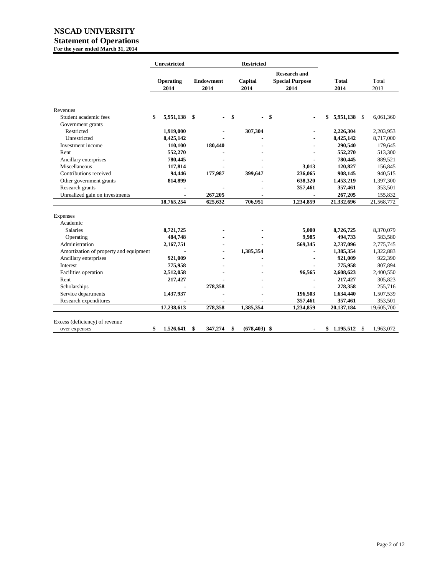## **NSCAD UNIVERSITY**

## **Statement of Operations**

**For the year ended March 31, 2014**

|                                                 | <b>Unrestricted</b> |                          | <b>Restricted</b>    |                                                       |                 |      |               |
|-------------------------------------------------|---------------------|--------------------------|----------------------|-------------------------------------------------------|-----------------|------|---------------|
|                                                 | Operating<br>2014   | <b>Endowment</b><br>2014 | Capital<br>2014      | <b>Research and</b><br><b>Special Purpose</b><br>2014 | Total<br>2014   |      | Total<br>2013 |
| Revenues                                        |                     |                          |                      |                                                       |                 |      |               |
| Student academic fees                           | \$<br>5,951,138     | \$                       | \$                   | \$                                                    | \$<br>5,951,138 | - \$ | 6,061,360     |
| Government grants                               |                     |                          |                      |                                                       |                 |      |               |
| Restricted                                      | 1,919,000           |                          | 307,304              |                                                       | 2,226,304       |      | 2,203,953     |
| Unrestricted                                    | 8,425,142           |                          |                      |                                                       | 8,425,142       |      | 8,717,000     |
| Investment income                               | 110,100             | 180,440                  |                      |                                                       | 290,540         |      | 179,645       |
| Rent                                            | 552,270             |                          |                      |                                                       | 552,270         |      | 513,300       |
| Ancillary enterprises                           | 780,445             |                          |                      |                                                       | 780,445         |      | 889,521       |
| Miscellaneous                                   | 117,814             |                          |                      | 3,013                                                 | 120,827         |      | 156,845       |
| Contributions received                          | 94,446              | 177,987                  | 399,647              | 236,065                                               | 908,145         |      | 940,515       |
| Other government grants                         | 814,899             |                          |                      | 638,320                                               | 1,453,219       |      | 1,397,300     |
| Research grants                                 |                     |                          |                      | 357,461                                               | 357,461         |      | 353,501       |
| Unrealized gain on investments                  |                     | 267,205                  |                      |                                                       | 267,205         |      | 155,832       |
|                                                 | 18,765,254          | 625,632                  | 706,951              | 1,234,859                                             | 21,332,696      |      | 21,568,772    |
|                                                 |                     |                          |                      |                                                       |                 |      |               |
| <b>Expenses</b>                                 |                     |                          |                      |                                                       |                 |      |               |
| Academic                                        |                     |                          |                      |                                                       |                 |      |               |
| <b>Salaries</b>                                 | 8,721,725           |                          |                      | 5,000                                                 | 8,726,725       |      | 8,370,079     |
| Operating                                       | 484,748             |                          |                      | 9,985                                                 | 494,733         |      | 583,580       |
| Administration                                  | 2,167,751           |                          |                      | 569,345                                               | 2,737,096       |      | 2,775,745     |
| Amortization of property and equipment          |                     |                          | 1,385,354            |                                                       | 1,385,354       |      | 1,322,883     |
| Ancillary enterprises                           | 921,009             |                          |                      |                                                       | 921,009         |      | 922,390       |
| Interest                                        | 775,958             |                          |                      |                                                       | 775,958         |      | 807,894       |
| Facilities operation                            | 2,512,058           |                          |                      | 96,565                                                | 2,608,623       |      | 2,400,550     |
| Rent                                            | 217,427             |                          |                      |                                                       | 217,427         |      | 305,823       |
| Scholarships                                    |                     | 278,358                  |                      |                                                       | 278,358         |      | 255,716       |
| Service departments                             | 1,437,937           |                          |                      | 196,503                                               | 1,634,440       |      | 1,507,539     |
| Research expenditures                           |                     |                          |                      | 357,461                                               | 357,461         |      | 353,501       |
|                                                 | 17,238,613          | 278,358                  | 1,385,354            | 1,234,859                                             | 20,137,184      |      | 19,605,700    |
| Excess (deficiency) of revenue<br>over expenses | \$<br>1.526.641     | \$<br>347,274            | \$<br>$(678.403)$ \$ | $\blacksquare$                                        | \$<br>1,195,512 | - \$ | 1.963.072     |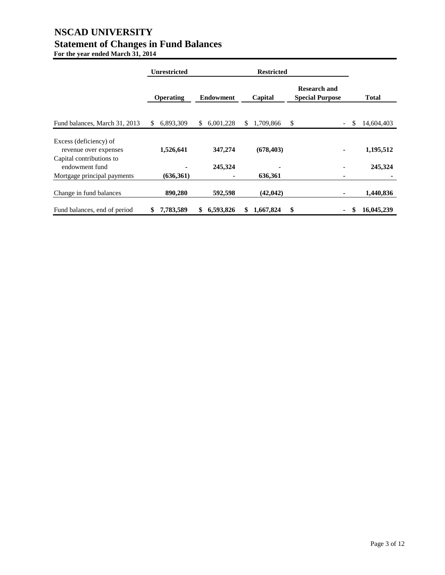# **NSCAD UNIVERSITY Statement of Changes in Fund Balances For the year ended March 31, 2014**

|                                                                             | <b>Unrestricted</b> |                  | <b>Restricted</b> |                                               |                  |
|-----------------------------------------------------------------------------|---------------------|------------------|-------------------|-----------------------------------------------|------------------|
|                                                                             | Operating           | <b>Endowment</b> | Capital           | <b>Research and</b><br><b>Special Purpose</b> | <b>Total</b>     |
| Fund balances, March 31, 2013                                               | 6,893,309<br>S.     | 6,001,228<br>\$. | 1,709,866<br>S.   | \$<br>$\overline{\phantom{a}}$                | \$<br>14,604,403 |
|                                                                             |                     |                  |                   |                                               |                  |
| Excess (deficiency) of<br>revenue over expenses<br>Capital contributions to | 1,526,641           | 347,274          | (678, 403)        | ٠                                             | 1,195,512        |
| endowment fund                                                              |                     | 245,324          |                   |                                               | 245,324          |
| Mortgage principal payments                                                 | (636, 361)          |                  | 636,361           |                                               |                  |
| Change in fund balances                                                     | 890,280             | 592,598          | (42, 042)         | ۰                                             | 1,440,836        |
| Fund balances, end of period                                                | 7,783,589<br>\$     | 6,593,826<br>\$  | 1,667,824<br>\$   | \$<br>٠.                                      | 16,045,239<br>\$ |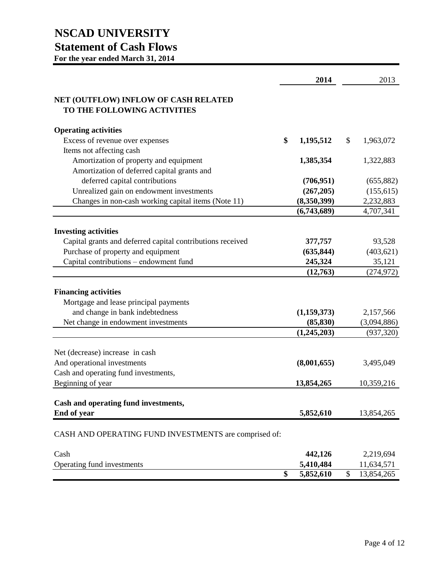|                                                                                                 | 2014                      | 2013                       |
|-------------------------------------------------------------------------------------------------|---------------------------|----------------------------|
| NET (OUTFLOW) INFLOW OF CASH RELATED<br>TO THE FOLLOWING ACTIVITIES                             |                           |                            |
| <b>Operating activities</b>                                                                     |                           |                            |
| \$<br>Excess of revenue over expenses                                                           | 1,195,512                 | \$<br>1,963,072            |
| Items not affecting cash                                                                        |                           |                            |
| Amortization of property and equipment                                                          | 1,385,354                 | 1,322,883                  |
| Amortization of deferred capital grants and                                                     |                           |                            |
| deferred capital contributions                                                                  | (706, 951)                | (655, 882)                 |
| Unrealized gain on endowment investments<br>Changes in non-cash working capital items (Note 11) | (267, 205)<br>(8,350,399) | (155, 615)<br>2,232,883    |
|                                                                                                 | (6,743,689)               | 4,707,341                  |
|                                                                                                 |                           |                            |
| <b>Investing activities</b>                                                                     |                           |                            |
| Capital grants and deferred capital contributions received                                      | 377,757                   | 93,528                     |
| Purchase of property and equipment                                                              | (635, 844)                | (403, 621)                 |
| Capital contributions - endowment fund                                                          | 245,324                   | 35,121                     |
|                                                                                                 | (12,763)                  | (274, 972)                 |
|                                                                                                 |                           |                            |
| <b>Financing activities</b>                                                                     |                           |                            |
| Mortgage and lease principal payments                                                           |                           |                            |
| and change in bank indebtedness                                                                 | (1,159,373)               | 2,157,566                  |
| Net change in endowment investments                                                             | (85, 830)                 | (3,094,886)                |
|                                                                                                 | (1,245,203)               | (937, 320)                 |
| Net (decrease) increase in cash                                                                 |                           |                            |
| And operational investments                                                                     | (8,001,655)               | 3,495,049                  |
| Cash and operating fund investments,                                                            |                           |                            |
| Beginning of year                                                                               | 13,854,265                | 10,359,216                 |
|                                                                                                 |                           |                            |
| Cash and operating fund investments,                                                            |                           |                            |
| End of year                                                                                     | 5,852,610                 | 13,854,265                 |
|                                                                                                 |                           |                            |
| CASH AND OPERATING FUND INVESTMENTS are comprised of:                                           |                           |                            |
| Cash                                                                                            | 442,126                   | 2,219,694                  |
| Operating fund investments                                                                      | 5,410,484                 | 11,634,571                 |
| \$                                                                                              | 5,852,610                 | $\mathbb{S}$<br>13,854,265 |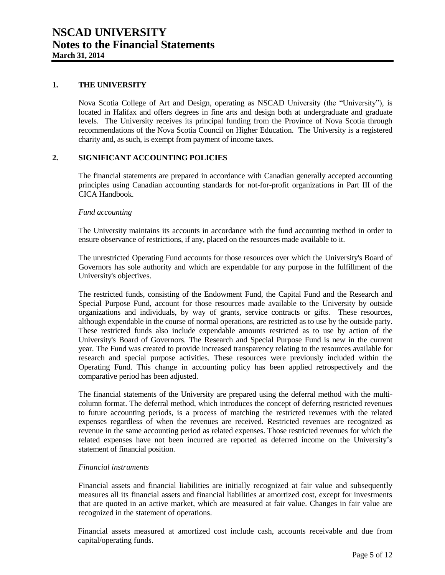## **1. THE UNIVERSITY**

Nova Scotia College of Art and Design, operating as NSCAD University (the "University"), is located in Halifax and offers degrees in fine arts and design both at undergraduate and graduate levels. The University receives its principal funding from the Province of Nova Scotia through recommendations of the Nova Scotia Council on Higher Education. The University is a registered charity and, as such, is exempt from payment of income taxes.

## **2. SIGNIFICANT ACCOUNTING POLICIES**

The financial statements are prepared in accordance with Canadian generally accepted accounting principles using Canadian accounting standards for not-for-profit organizations in Part III of the CICA Handbook.

## *Fund accounting*

The University maintains its accounts in accordance with the fund accounting method in order to ensure observance of restrictions, if any, placed on the resources made available to it.

The unrestricted Operating Fund accounts for those resources over which the University's Board of Governors has sole authority and which are expendable for any purpose in the fulfillment of the University's objectives.

The restricted funds, consisting of the Endowment Fund, the Capital Fund and the Research and Special Purpose Fund, account for those resources made available to the University by outside organizations and individuals, by way of grants, service contracts or gifts. These resources, although expendable in the course of normal operations, are restricted as to use by the outside party. These restricted funds also include expendable amounts restricted as to use by action of the University's Board of Governors. The Research and Special Purpose Fund is new in the current year. The Fund was created to provide increased transparency relating to the resources available for research and special purpose activities. These resources were previously included within the Operating Fund. This change in accounting policy has been applied retrospectively and the comparative period has been adjusted.

The financial statements of the University are prepared using the deferral method with the multicolumn format. The deferral method, which introduces the concept of deferring restricted revenues to future accounting periods, is a process of matching the restricted revenues with the related expenses regardless of when the revenues are received. Restricted revenues are recognized as revenue in the same accounting period as related expenses. Those restricted revenues for which the related expenses have not been incurred are reported as deferred income on the University's statement of financial position.

## *Financial instruments*

Financial assets and financial liabilities are initially recognized at fair value and subsequently measures all its financial assets and financial liabilities at amortized cost, except for investments that are quoted in an active market, which are measured at fair value. Changes in fair value are recognized in the statement of operations.

Financial assets measured at amortized cost include cash, accounts receivable and due from capital/operating funds.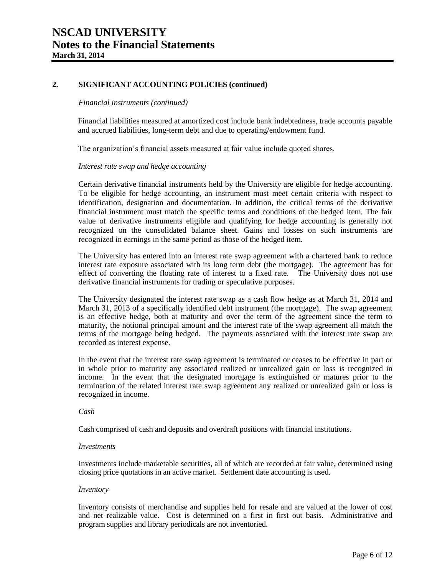## **2. SIGNIFICANT ACCOUNTING POLICIES (continued)**

## *Financial instruments (continued)*

Financial liabilities measured at amortized cost include bank indebtedness, trade accounts payable and accrued liabilities, long-term debt and due to operating/endowment fund.

The organization's financial assets measured at fair value include quoted shares.

## *Interest rate swap and hedge accounting*

Certain derivative financial instruments held by the University are eligible for hedge accounting. To be eligible for hedge accounting, an instrument must meet certain criteria with respect to identification, designation and documentation. In addition, the critical terms of the derivative financial instrument must match the specific terms and conditions of the hedged item. The fair value of derivative instruments eligible and qualifying for hedge accounting is generally not recognized on the consolidated balance sheet. Gains and losses on such instruments are recognized in earnings in the same period as those of the hedged item.

The University has entered into an interest rate swap agreement with a chartered bank to reduce interest rate exposure associated with its long term debt (the mortgage). The agreement has for effect of converting the floating rate of interest to a fixed rate. The University does not use derivative financial instruments for trading or speculative purposes.

The University designated the interest rate swap as a cash flow hedge as at March 31, 2014 and March 31, 2013 of a specifically identified debt instrument (the mortgage). The swap agreement is an effective hedge, both at maturity and over the term of the agreement since the term to maturity, the notional principal amount and the interest rate of the swap agreement all match the terms of the mortgage being hedged. The payments associated with the interest rate swap are recorded as interest expense.

In the event that the interest rate swap agreement is terminated or ceases to be effective in part or in whole prior to maturity any associated realized or unrealized gain or loss is recognized in income. In the event that the designated mortgage is extinguished or matures prior to the termination of the related interest rate swap agreement any realized or unrealized gain or loss is recognized in income.

## *Cash*

Cash comprised of cash and deposits and overdraft positions with financial institutions.

## *Investments*

Investments include marketable securities, all of which are recorded at fair value, determined using closing price quotations in an active market. Settlement date accounting is used.

## *Inventory*

Inventory consists of merchandise and supplies held for resale and are valued at the lower of cost and net realizable value. Cost is determined on a first in first out basis. Administrative and program supplies and library periodicals are not inventoried.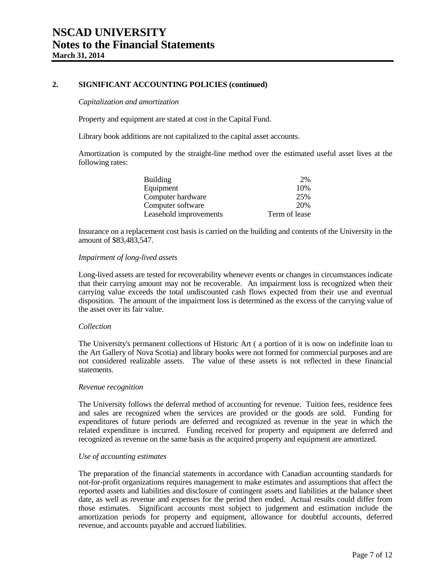## **2. SIGNIFICANT ACCOUNTING POLICIES (continued)**

#### *Capitalization and amortization*

Property and equipment are stated at cost in the Capital Fund.

Library book additions are not capitalized to the capital asset accounts.

Amortization is computed by the straight-line method over the estimated useful asset lives at the following rates:

| Building               | 2%            |
|------------------------|---------------|
| Equipment              | 10%           |
| Computer hardware      | 25%           |
| Computer software      | 20%           |
| Leasehold improvements | Term of lease |

Insurance on a replacement cost basis is carried on the building and contents of the University in the amount of \$83,483,547.

#### *Impairment of long-lived assets*

Long-lived assets are tested for recoverability whenever events or changes in circumstances indicate that their carrying amount may not be recoverable. An impairment loss is recognized when their carrying value exceeds the total undiscounted cash flows expected from their use and eventual disposition. The amount of the impairment loss is determined as the excess of the carrying value of the asset over its fair value.

## *Collection*

The University's permanent collections of Historic Art ( a portion of it is now on indefinite loan to the Art Gallery of Nova Scotia) and library books were not formed for commercial purposes and are not considered realizable assets. The value of these assets is not reflected in these financial statements.

#### *Revenue recognition*

The University follows the deferral method of accounting for revenue. Tuition fees, residence fees and sales are recognized when the services are provided or the goods are sold. Funding for expenditures of future periods are deferred and recognized as revenue in the year in which the related expenditure is incurred. Funding received for property and equipment are deferred and recognized as revenue on the same basis as the acquired property and equipment are amortized.

#### *Use of accounting estimates*

The preparation of the financial statements in accordance with Canadian accounting standards for not-for-profit organizations requires management to make estimates and assumptions that affect the reported assets and liabilities and disclosure of contingent assets and liabilities at the balance sheet date, as well as revenue and expenses for the period then ended. Actual results could differ from those estimates. Significant accounts most subject to judgement and estimation include the amortization periods for property and equipment, allowance for doubtful accounts, deferred revenue, and accounts payable and accrued liabilities.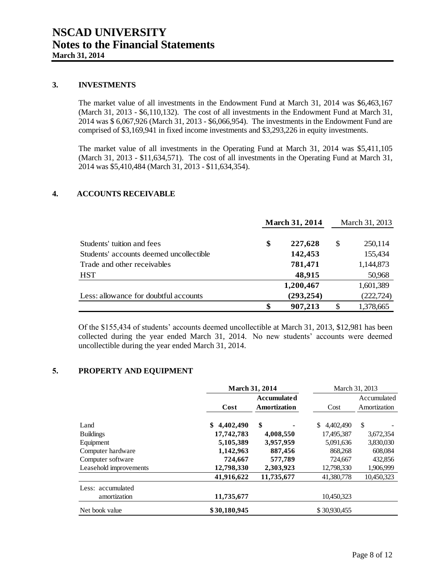## **3. INVESTMENTS**

The market value of all investments in the Endowment Fund at March 31, 2014 was \$6,463,167 (March 31, 2013 - \$6,110,132). The cost of all investments in the Endowment Fund at March 31, 2014 was \$ 6,067,926 (March 31, 2013 - \$6,066,954). The investments in the Endowment Fund are comprised of \$3,169,941 in fixed income investments and \$3,293,226 in equity investments.

The market value of all investments in the Operating Fund at March 31, 2014 was \$5,411,105 (March 31, 2013 - \$11,634,571). The cost of all investments in the Operating Fund at March 31, 2014 was \$5,410,484 (March 31, 2013 - \$11,634,354).

## **4. ACCOUNTS RECEIVABLE**

|                                         | <b>March 31, 2014</b> |            | March 31, 2013 |            |  |
|-----------------------------------------|-----------------------|------------|----------------|------------|--|
| Students' tuition and fees              | \$                    | 227,628    | \$             | 250,114    |  |
| Students' accounts deemed uncollectible |                       | 142,453    |                | 155,434    |  |
| Trade and other receivables             |                       | 781,471    |                | 1,144,873  |  |
| <b>HST</b>                              |                       | 48,915     |                | 50,968     |  |
|                                         |                       | 1,200,467  |                | 1,601,389  |  |
| Less: allowance for doubtful accounts   |                       | (293, 254) |                | (222, 724) |  |
|                                         | S                     | 907,213    |                | 1,378,665  |  |

Of the \$155,434 of students' accounts deemed uncollectible at March 31, 2013, \$12,981 has been collected during the year ended March 31, 2014. No new students' accounts were deemed uncollectible during the year ended March 31, 2014.

## **5. PROPERTY AND EQUIPMENT**

|                        | <b>March 31, 2014</b> | March 31, 2013      |              |               |  |
|------------------------|-----------------------|---------------------|--------------|---------------|--|
|                        |                       | <b>Accumulated</b>  |              | Accumulated   |  |
|                        | Cost                  | <b>Amortization</b> | Cost         | Amortization  |  |
| Land                   | 4,402,490<br>\$       | \$                  | \$4.402,490  | $\mathcal{S}$ |  |
| <b>Buildings</b>       | 17,742,783            | 4,008,550           | 17,495,387   | 3,672,354     |  |
| Equipment              | 5,105,389             | 3,957,959           | 5,091,636    | 3,830,030     |  |
| Computer hardware      | 1,142,963             | 887,456             | 868,268      | 608,084       |  |
| Computer software      | 724,667               | 577,789             | 724,667      | 432,856       |  |
| Leasehold improvements | 12,798,330            | 2,303,923           | 12,798,330   | 1,906,999     |  |
|                        | 41,916,622            | 11,735,677          | 41,380,778   | 10,450,323    |  |
| Less: accumulated      |                       |                     |              |               |  |
| amortization           | 11,735,677            |                     | 10,450,323   |               |  |
| Net book value         | \$30,180,945          |                     | \$30,930,455 |               |  |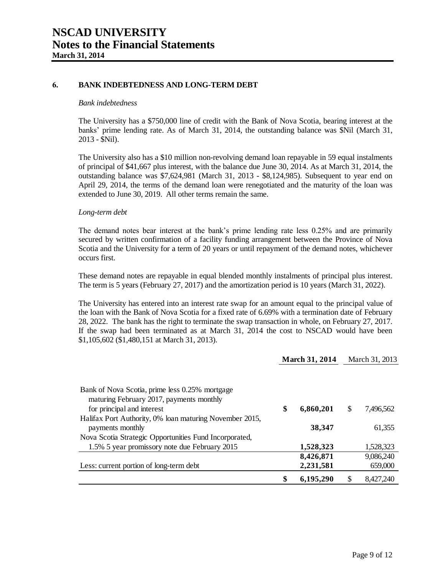## **6. BANK INDEBTEDNESS AND LONG-TERM DEBT**

#### *Bank indebtedness*

The University has a \$750,000 line of credit with the Bank of Nova Scotia, bearing interest at the banks' prime lending rate. As of March 31, 2014, the outstanding balance was \$Nil (March 31, 2013 - \$Nil).

The University also has a \$10 million non-revolving demand loan repayable in 59 equal instalments of principal of \$41,667 plus interest, with the balance due June 30, 2014. As at March 31, 2014, the outstanding balance was \$7,624,981 (March 31, 2013 - \$8,124,985). Subsequent to year end on April 29, 2014, the terms of the demand loan were renegotiated and the maturity of the loan was extended to June 30, 2019. All other terms remain the same.

## *Long-term debt*

The demand notes bear interest at the bank's prime lending rate less 0.25% and are primarily secured by written confirmation of a facility funding arrangement between the Province of Nova Scotia and the University for a term of 20 years or until repayment of the demand notes, whichever occurs first.

These demand notes are repayable in equal blended monthly instalments of principal plus interest. The term is 5 years (February 27, 2017) and the amortization period is 10 years (March 31, 2022).

The University has entered into an interest rate swap for an amount equal to the principal value of the loan with the Bank of Nova Scotia for a fixed rate of 6.69% with a termination date of February 28, 2022. The bank has the right to terminate the swap transaction in whole, on February 27, 2017. If the swap had been terminated as at March 31, 2014 the cost to NSCAD would have been \$1,105,602 (\$1,480,151 at March 31, 2013).

|                                                                                            | <b>March 31, 2014</b> |           |   | March 31, 2013 |
|--------------------------------------------------------------------------------------------|-----------------------|-----------|---|----------------|
| Bank of Nova Scotia, prime less 0.25% mortgage<br>maturing February 2017, payments monthly |                       |           |   |                |
| for principal and interest                                                                 | \$                    | 6,860,201 | S | 7.496.562      |
| Halifax Port Authority, 0% loan maturing November 2015,                                    |                       |           |   |                |
| payments monthly                                                                           |                       | 38,347    |   | 61,355         |
| Nova Scotia Strategic Opportunities Fund Incorporated,                                     |                       |           |   |                |
| 1.5% 5 year promissory note due February 2015                                              |                       | 1,528,323 |   | 1,528,323      |
|                                                                                            |                       | 8,426,871 |   | 9,086,240      |
| Less: current portion of long-term debt                                                    |                       | 2,231,581 |   | 659,000        |
|                                                                                            | \$                    | 6,195,290 |   | 8,427,240      |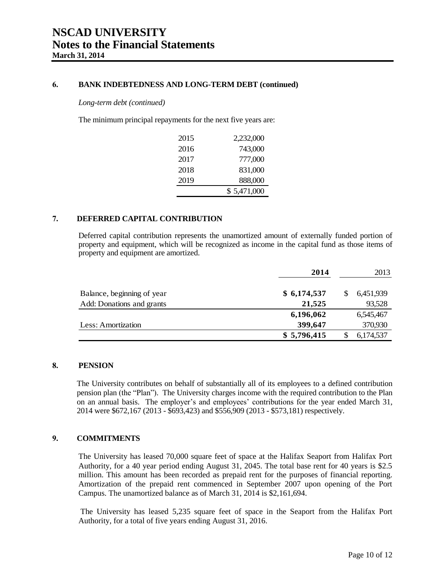## **6. BANK INDEBTEDNESS AND LONG-TERM DEBT (continued)**

## *Long-term debt (continued)*

The minimum principal repayments for the next five years are:

| 2015 | 2,232,000   |
|------|-------------|
| 2016 | 743,000     |
| 2017 | 777,000     |
| 2018 | 831,000     |
| 2019 | 888,000     |
|      | \$5,471,000 |

## **7. DEFERRED CAPITAL CONTRIBUTION**

Deferred capital contribution represents the unamortized amount of externally funded portion of property and equipment, which will be recognized as income in the capital fund as those items of property and equipment are amortized.

|                            | 2014        |   | 2013      |
|----------------------------|-------------|---|-----------|
| Balance, beginning of year | \$6,174,537 | S | 6,451,939 |
| Add: Donations and grants  | 21,525      |   | 93,528    |
|                            | 6,196,062   |   | 6,545,467 |
| Less: Amortization         | 399,647     |   | 370,930   |
|                            | \$5,796,415 |   | 6,174,537 |
|                            |             |   |           |

## **8. PENSION**

The University contributes on behalf of substantially all of its employees to a defined contribution pension plan (the "Plan"). The University charges income with the required contribution to the Plan on an annual basis. The employer's and employees' contributions for the year ended March 31, 2014 were \$672,167 (2013 - \$693,423) and \$556,909 (2013 - \$573,181) respectively.

## **9. COMMITMENTS**

The University has leased 70,000 square feet of space at the Halifax Seaport from Halifax Port Authority, for a 40 year period ending August 31, 2045. The total base rent for 40 years is \$2.5 million. This amount has been recorded as prepaid rent for the purposes of financial reporting. Amortization of the prepaid rent commenced in September 2007 upon opening of the Port Campus. The unamortized balance as of March 31, 2014 is \$2,161,694.

The University has leased 5,235 square feet of space in the Seaport from the Halifax Port Authority, for a total of five years ending August 31, 2016.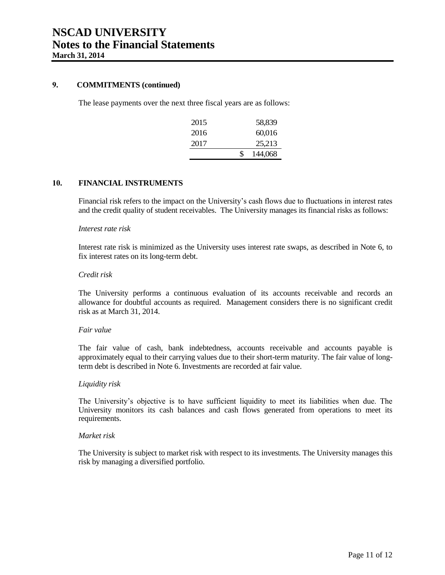## **9. COMMITMENTS (continued)**

The lease payments over the next three fiscal years are as follows:

|      | 144,068 |
|------|---------|
| 2017 | 25,213  |
| 2016 | 60,016  |
| 2015 | 58,839  |

## **10. FINANCIAL INSTRUMENTS**

Financial risk refers to the impact on the University's cash flows due to fluctuations in interest rates and the credit quality of student receivables. The University manages its financial risks as follows:

#### *Interest rate risk*

Interest rate risk is minimized as the University uses interest rate swaps, as described in Note 6, to fix interest rates on its long-term debt.

## *Credit risk*

The University performs a continuous evaluation of its accounts receivable and records an allowance for doubtful accounts as required. Management considers there is no significant credit risk as at March 31, 2014.

## *Fair value*

The fair value of cash, bank indebtedness, accounts receivable and accounts payable is approximately equal to their carrying values due to their short-term maturity. The fair value of longterm debt is described in Note 6. Investments are recorded at fair value.

## *Liquidity risk*

The University's objective is to have sufficient liquidity to meet its liabilities when due. The University monitors its cash balances and cash flows generated from operations to meet its requirements.

## *Market risk*

The University is subject to market risk with respect to its investments. The University manages this risk by managing a diversified portfolio.